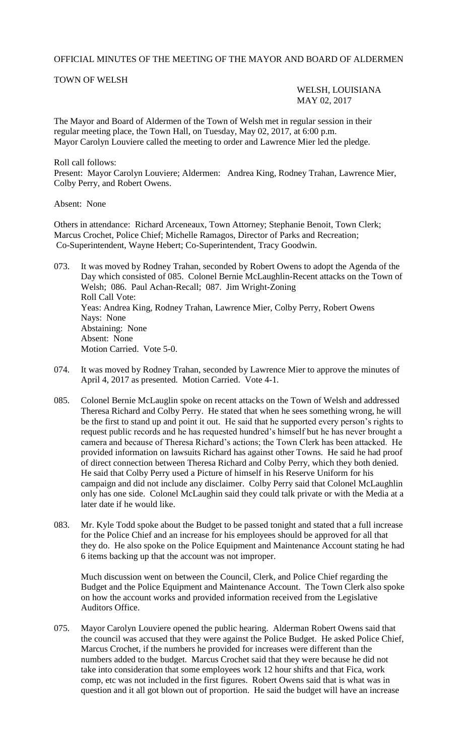## OFFICIAL MINUTES OF THE MEETING OF THE MAYOR AND BOARD OF ALDERMEN

## TOWN OF WELSH

WELSH, LOUISIANA MAY 02, 2017

The Mayor and Board of Aldermen of the Town of Welsh met in regular session in their regular meeting place, the Town Hall, on Tuesday, May 02, 2017, at 6:00 p.m. Mayor Carolyn Louviere called the meeting to order and Lawrence Mier led the pledge.

Roll call follows: Present: Mayor Carolyn Louviere; Aldermen: Andrea King, Rodney Trahan, Lawrence Mier, Colby Perry, and Robert Owens.

Absent: None

Others in attendance: Richard Arceneaux, Town Attorney; Stephanie Benoit, Town Clerk; Marcus Crochet, Police Chief; Michelle Ramagos, Director of Parks and Recreation; Co-Superintendent, Wayne Hebert; Co-Superintendent, Tracy Goodwin.

073. It was moved by Rodney Trahan, seconded by Robert Owens to adopt the Agenda of the Day which consisted of 085. Colonel Bernie McLaughlin-Recent attacks on the Town of Welsh; 086. Paul Achan-Recall; 087. Jim Wright-Zoning Roll Call Vote: Yeas: Andrea King, Rodney Trahan, Lawrence Mier, Colby Perry, Robert Owens Nays: None Abstaining: None Absent: None Motion Carried. Vote 5-0.

- 074. It was moved by Rodney Trahan, seconded by Lawrence Mier to approve the minutes of April 4, 2017 as presented. Motion Carried. Vote 4-1.
- 085. Colonel Bernie McLauglin spoke on recent attacks on the Town of Welsh and addressed Theresa Richard and Colby Perry. He stated that when he sees something wrong, he will be the first to stand up and point it out. He said that he supported every person's rights to request public records and he has requested hundred's himself but he has never brought a camera and because of Theresa Richard's actions; the Town Clerk has been attacked. He provided information on lawsuits Richard has against other Towns. He said he had proof of direct connection between Theresa Richard and Colby Perry, which they both denied. He said that Colby Perry used a Picture of himself in his Reserve Uniform for his campaign and did not include any disclaimer. Colby Perry said that Colonel McLaughlin only has one side. Colonel McLaughin said they could talk private or with the Media at a later date if he would like.
- 083. Mr. Kyle Todd spoke about the Budget to be passed tonight and stated that a full increase for the Police Chief and an increase for his employees should be approved for all that they do. He also spoke on the Police Equipment and Maintenance Account stating he had 6 items backing up that the account was not improper.

Much discussion went on between the Council, Clerk, and Police Chief regarding the Budget and the Police Equipment and Maintenance Account. The Town Clerk also spoke on how the account works and provided information received from the Legislative Auditors Office.

075. Mayor Carolyn Louviere opened the public hearing. Alderman Robert Owens said that the council was accused that they were against the Police Budget. He asked Police Chief, Marcus Crochet, if the numbers he provided for increases were different than the numbers added to the budget. Marcus Crochet said that they were because he did not take into consideration that some employees work 12 hour shifts and that Fica, work comp, etc was not included in the first figures. Robert Owens said that is what was in question and it all got blown out of proportion. He said the budget will have an increase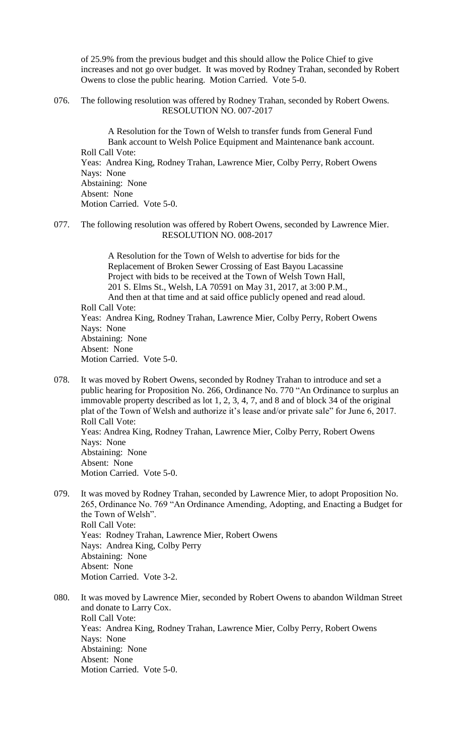of 25.9% from the previous budget and this should allow the Police Chief to give increases and not go over budget. It was moved by Rodney Trahan, seconded by Robert Owens to close the public hearing. Motion Carried. Vote 5-0.

076. The following resolution was offered by Rodney Trahan, seconded by Robert Owens. RESOLUTION NO. 007-2017

A Resolution for the Town of Welsh to transfer funds from General Fund Bank account to Welsh Police Equipment and Maintenance bank account. Roll Call Vote: Yeas: Andrea King, Rodney Trahan, Lawrence Mier, Colby Perry, Robert Owens Nays: None Abstaining: None Absent: None Motion Carried. Vote 5-0.

077. The following resolution was offered by Robert Owens, seconded by Lawrence Mier. RESOLUTION NO. 008-2017

A Resolution for the Town of Welsh to advertise for bids for the Replacement of Broken Sewer Crossing of East Bayou Lacassine Project with bids to be received at the Town of Welsh Town Hall, 201 S. Elms St., Welsh, LA 70591 on May 31, 2017, at 3:00 P.M., And then at that time and at said office publicly opened and read aloud. Roll Call Vote: Yeas: Andrea King, Rodney Trahan, Lawrence Mier, Colby Perry, Robert Owens Nays: None Abstaining: None Absent: None Motion Carried. Vote 5-0.

078. It was moved by Robert Owens, seconded by Rodney Trahan to introduce and set a public hearing for Proposition No. 266, Ordinance No. 770 "An Ordinance to surplus an immovable property described as lot 1, 2, 3, 4, 7, and 8 and of block 34 of the original plat of the Town of Welsh and authorize it's lease and/or private sale" for June 6, 2017. Roll Call Vote: Yeas: Andrea King, Rodney Trahan, Lawrence Mier, Colby Perry, Robert Owens Nays: None Abstaining: None Absent: None Motion Carried. Vote 5-0.

079. It was moved by Rodney Trahan, seconded by Lawrence Mier, to adopt Proposition No. 265, Ordinance No. 769 "An Ordinance Amending, Adopting, and Enacting a Budget for the Town of Welsh". Roll Call Vote: Yeas: Rodney Trahan, Lawrence Mier, Robert Owens Nays: Andrea King, Colby Perry Abstaining: None Absent: None Motion Carried. Vote 3-2.

080. It was moved by Lawrence Mier, seconded by Robert Owens to abandon Wildman Street and donate to Larry Cox. Roll Call Vote: Yeas: Andrea King, Rodney Trahan, Lawrence Mier, Colby Perry, Robert Owens Nays: None Abstaining: None Absent: None Motion Carried. Vote 5-0.